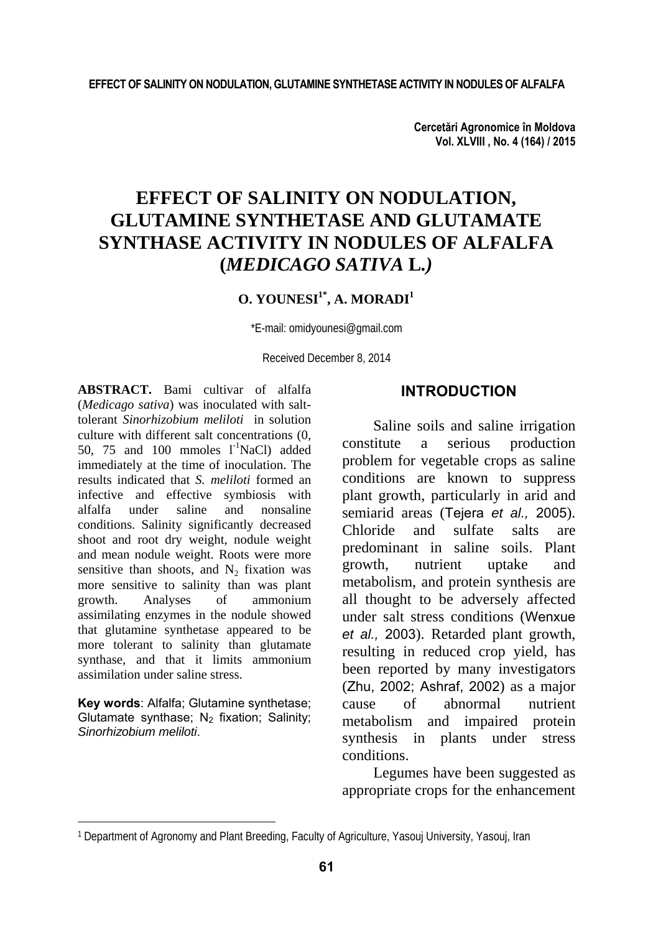**Cercetări Agronomice în Moldova Vol. XLVIII , No. 4 (164) / 2015** 

# **EFFECT OF SALINITY ON NODULATION, GLUTAMINE SYNTHETASE AND GLUTAMATE SYNTHASE ACTIVITY IN NODULES OF ALFALFA (***MEDICAGO SATIVA* **L***.)*

# **O. YOUNESI<sup>1\*</sup>, A. MORADI<sup>1</sup>**

\*E-mail: omidyounesi@gmail.com

Received December 8, 2014

**ABSTRACT.** Bami cultivar of alfalfa (*Medicago sativa*) was inoculated with salttolerant *Sinorhizobium meliloti* in solution culture with different salt concentrations (0, 50, 75 and 100 mmoles  $1^{\text{-}1}$ NaCl) added immediately at the time of inoculation. The results indicated that *S. meliloti* formed an infective and effective symbiosis with alfalfa under saline and nonsaline conditions. Salinity significantly decreased shoot and root dry weight, nodule weight and mean nodule weight. Roots were more sensitive than shoots, and  $N_2$  fixation was more sensitive to salinity than was plant<br>growth. Analyses of ammonium growth. Analyses of assimilating enzymes in the nodule showed that glutamine synthetase appeared to be more tolerant to salinity than glutamate synthase, and that it limits ammonium assimilation under saline stress.

**Key words**: Alfalfa; Glutamine synthetase; Glutamate synthase: N<sub>2</sub> fixation: Salinity: *Sinorhizobium meliloti*.

l

## **INTRODUCTION**

Saline soils and saline irrigation constitute a serious production problem for vegetable crops as saline conditions are known to suppress plant growth, particularly in arid and semiarid areas (Tejera *et al.*, 2005). Chloride and sulfate salts are predominant in saline soils. Plant growth, nutrient uptake and metabolism, and protein synthesis are all thought to be adversely affected under salt stress conditions (Wenxue *et al.,* 2003). Retarded plant growth, resulting in reduced crop yield, has been reported by many investigators (Zhu,2002; Ashraf, 2002) as a major cause of abnormal nutrient metabolism and impaired protein synthesis in plants under stress conditions.

Legumes have been suggested as appropriate crops for the enhancement

<sup>1</sup> Department of Agronomy and Plant Breeding, Faculty of Agriculture, Yasouj University, Yasouj, Iran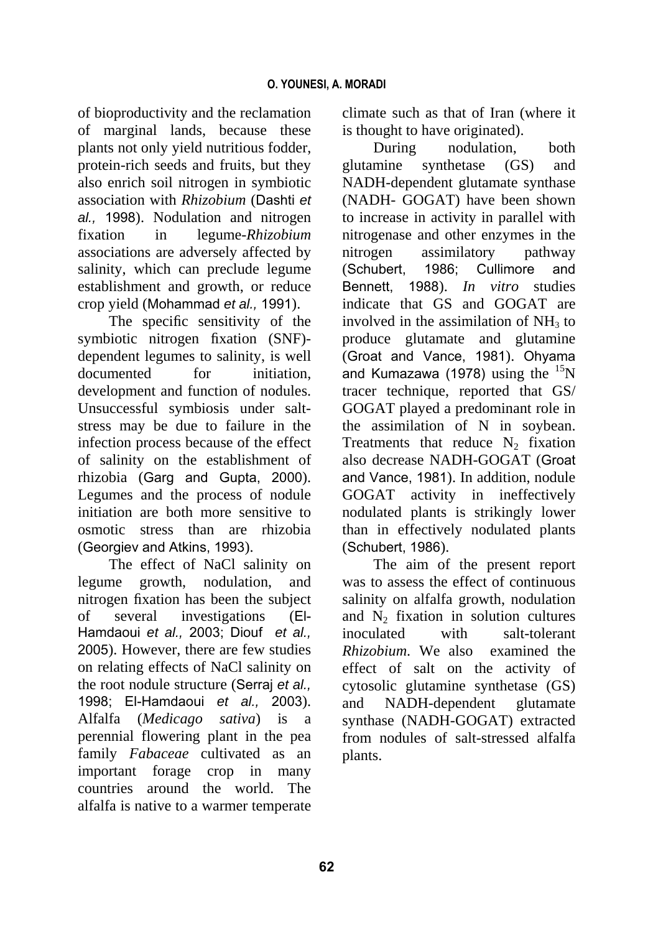of bioproductivity and the reclamation of marginal lands, because these plants not only yield nutritious fodder, protein-rich seeds and fruits, but they also enrich soil nitrogen in symbiotic association with *Rhizobium* (Dashti *et al.,* 1998). Nodulation and nitrogen fixation in legume-*Rhizobium* associations are adversely affected by salinity, which can preclude legume establishment and growth, or reduce crop yield (Mohammad *et al.,* 1991).

The specific sensitivity of the symbiotic nitrogen fixation (SNF) dependent legumes to salinity, is well documented for initiation. development and function of nodules. Unsuccessful symbiosis under saltstress may be due to failure in the infection process because of the effect of salinity on the establishment of rhizobia (Garg and Gupta, 2000). Legumes and the process of nodule initiation are both more sensitive to osmotic stress than are rhizobia (Georgiev and Atkins, 1993).

The effect of NaCl salinity on legume growth, nodulation, and nitrogen fixation has been the subject of several investigations (El-Hamdaoui *et al.,* 2003; Diouf *et al.,* 2005). However, there are few studies on relating effects of NaCl salinity on the root nodule structure (Serraj *et al.,* 1998; El-Hamdaoui *et al.,* 2003). Alfalfa (*Medicago sativa*) is a perennial flowering plant in the pea family *Fabaceae* cultivated as an important forage crop in many countries around the world. The alfalfa is native to a warmer temperate

climate such as that of Iran (where it is thought to have originated).

During nodulation, both glutamine synthetase (GS) and NADH-dependent glutamate synthase (NADH- GOGAT) have been shown to increase in activity in parallel with nitrogenase and other enzymes in the nitrogen assimilatory pathway (Schubert, 1986; Cullimore and Bennett, 1988). *In vitro* studies indicate that GS and GOGAT are involved in the assimilation of  $NH<sub>3</sub>$  to produce glutamate and glutamine (Groat and Vance, 1981). Ohyama and Kumazawa (1978) using the  $15<sup>15</sup>N$ tracer technique, reported that GS/ GOGAT played a predominant role in the assimilation of N in soybean. Treatments that reduce  $N_2$  fixation also decrease NADH-GOGAT (Groat and Vance, 1981). In addition, nodule GOGAT activity in ineffectively nodulated plants is strikingly lower than in effectively nodulated plants (Schubert, 1986).

The aim of the present report was to assess the effect of continuous salinity on alfalfa growth, nodulation and  $N_2$  fixation in solution cultures inoculated with salt-tolerant *Rhizobium*. We also examined the effect of salt on the activity of cytosolic glutamine synthetase (GS) and NADH-dependent glutamate synthase (NADH-GOGAT) extracted from nodules of salt-stressed alfalfa plants.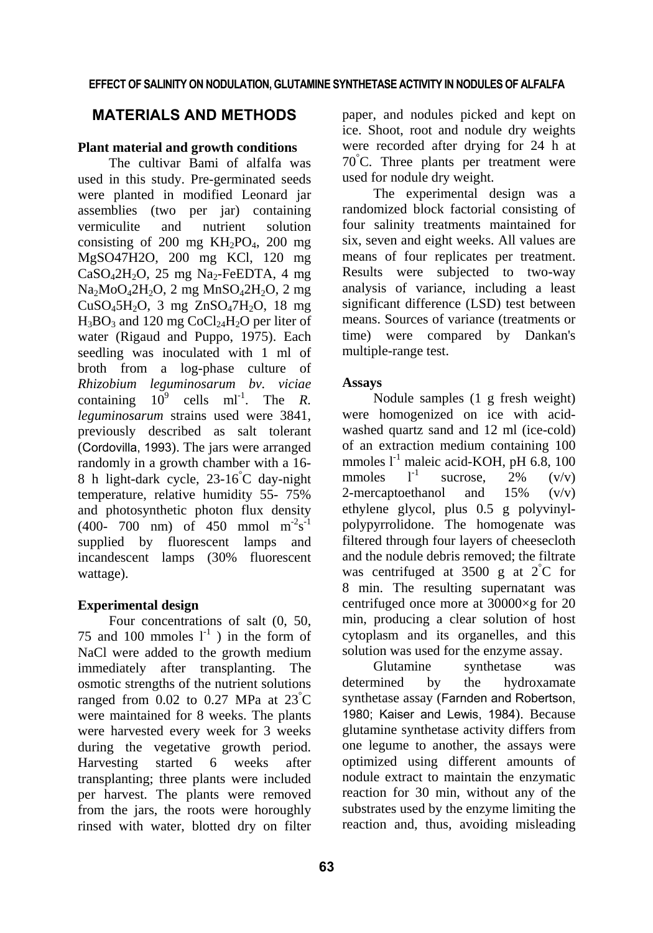# **MATERIALS AND METHODS**

### **Plant material and growth conditions**

The cultivar Bami of alfalfa was used in this study. Pre-germinated seeds were planted in modified Leonard jar assemblies (two per jar) containing vermiculite and nutrient solution consisting of 200 mg  $KH_2PO_4$ , 200 mg MgSO47H2O, 200 mg KCl, 120 mg  $CaSO<sub>4</sub>2H<sub>2</sub>O$ , 25 mg Na<sub>2</sub>-FeEDTA, 4 mg  $Na<sub>2</sub>MoO<sub>4</sub>2H<sub>2</sub>O$ , 2 mg MnSO<sub>4</sub>2H<sub>2</sub>O, 2 mg  $CuSO<sub>4</sub>5H<sub>2</sub>O$ , 3 mg  $ZnSO<sub>4</sub>7H<sub>2</sub>O$ , 18 mg  $H_3BO_3$  and 120 mg CoCl<sub>24</sub>H<sub>2</sub>O per liter of water (Rigaud and Puppo, 1975). Each seedling was inoculated with 1 ml of broth from a log-phase culture of *Rhizobium leguminosarum bv. viciae*  containing  $10^9$  cells ml<sup>-1</sup>. The *R*. *leguminosarum* strains used were 3841, previously described as salt tolerant (Cordovilla, 1993). The jars were arranged randomly in a growth chamber with a 16- 8 h light-dark cycle, 23-16° C day-night temperature, relative humidity 55- 75% and photosynthetic photon flux density  $(400 - 700 \text{ nm})$  of 450 mmol m<sup>-2</sup>s<sup>-1</sup> supplied by fluorescent lamps and incandescent lamps (30% fluorescent wattage).

### **Experimental design**

Four concentrations of salt (0, 50, 75 and 100 mmoles  $1^{-1}$ ) in the form of NaCl were added to the growth medium immediately after transplanting. The osmotic strengths of the nutrient solutions ranged from  $0.02$  to  $0.27$  MPa at  $23^{\circ}$ C were maintained for 8 weeks. The plants were harvested every week for 3 weeks during the vegetative growth period. Harvesting started 6 weeks after transplanting; three plants were included per harvest. The plants were removed from the jars, the roots were horoughly rinsed with water, blotted dry on filter

paper, and nodules picked and kept on ice. Shoot, root and nodule dry weights were recorded after drying for 24 h at 70° C. Three plants per treatment were used for nodule dry weight.

The experimental design was a randomized block factorial consisting of four salinity treatments maintained for six, seven and eight weeks. All values are means of four replicates per treatment. Results were subjected to two-way analysis of variance, including a least significant difference (LSD) test between means. Sources of variance (treatments or time) were compared by Dankan's multiple-range test.

### **Assays**

Nodule samples (1 g fresh weight) were homogenized on ice with acidwashed quartz sand and 12 ml (ice-cold) of an extraction medium containing 100 mmoles  $l^{-1}$  maleic acid-KOH, pH 6.8, 100 mmoles  $1^{-1}$  sucrose, 2% (v/v) 2-mercaptoethanol and 15% (v/v) ethylene glycol, plus 0.5 g polyvinylpolypyrrolidone. The homogenate was filtered through four layers of cheesecloth and the nodule debris removed; the filtrate was centrifuged at 3500 g at  $2^{\circ}$ C for 8 min. The resulting supernatant was centrifuged once more at 30000×g for 20 min, producing a clear solution of host cytoplasm and its organelles, and this solution was used for the enzyme assay.

Glutamine synthetase was determined by the hydroxamate synthetase assay (Farnden and Robertson, 1980; Kaiser and Lewis, 1984). Because glutamine synthetase activity differs from one legume to another, the assays were optimized using different amounts of nodule extract to maintain the enzymatic reaction for 30 min, without any of the substrates used by the enzyme limiting the reaction and, thus, avoiding misleading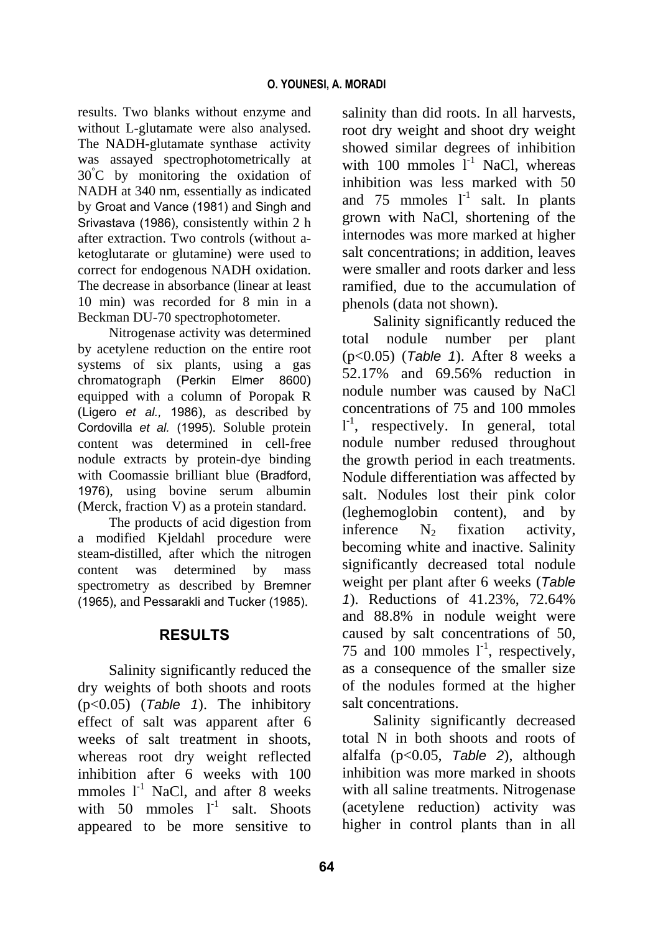results. Two blanks without enzyme and without L-glutamate were also analysed. The NADH-glutamate synthase activity was assayed spectrophotometrically at 30° C by monitoring the oxidation of NADH at 340 nm, essentially as indicated by Groat and Vance (1981) and Singh and Srivastava (1986), consistently within 2 h after extraction. Two controls (without aketoglutarate or glutamine) were used to correct for endogenous NADH oxidation. The decrease in absorbance (linear at least 10 min) was recorded for 8 min in a Beckman DU-70 spectrophotometer.

Nitrogenase activity was determined by acetylene reduction on the entire root systems of six plants, using a gas chromatograph (Perkin Elmer 8600) equipped with a column of Poropak R (Ligero *et al.,* 1986), as described by Cordovilla *et al.* (1995). Soluble protein content was determined in cell-free nodule extracts by protein-dye binding with Coomassie brilliant blue (Bradford, 1976), using bovine serum albumin (Merck, fraction V) as a protein standard.

The products of acid digestion from a modified Kjeldahl procedure were steam-distilled, after which the nitrogen content was determined by mass spectrometry as described by Bremner (1965), and Pessarakli and Tucker (1985).

# **RESULTS**

Salinity significantly reduced the dry weights of both shoots and roots (p<0.05) (*Table 1*). The inhibitory effect of salt was apparent after 6 weeks of salt treatment in shoots, whereas root dry weight reflected inhibition after 6 weeks with 100 mmoles  $1^{-1}$  NaCl, and after 8 weeks with 50 mmoles  $1^{-1}$  salt. Shoots appeared to be more sensitive to

salinity than did roots. In all harvests, root dry weight and shoot dry weight showed similar degrees of inhibition with 100 mmoles  $I^{-1}$  NaCl, whereas inhibition was less marked with 50 and 75 mmoles  $1^{-1}$  salt. In plants grown with NaCl, shortening of the internodes was more marked at higher salt concentrations; in addition, leaves were smaller and roots darker and less ramified, due to the accumulation of phenols (data not shown).

Salinity significantly reduced the total nodule number per plant (p<0.05) (*Table 1*). After 8 weeks a 52.17% and 69.56% reduction in nodule number was caused by NaCl concentrations of 75 and 100 mmoles  $1^{-1}$ , respectively. In general, total nodule number redused throughout the growth period in each treatments. Nodule differentiation was affected by salt. Nodules lost their pink color (leghemoglobin content), and by inference  $N_2$  fixation activity, becoming white and inactive. Salinity significantly decreased total nodule weight per plant after 6 weeks (*Table 1*). Reductions of 41.23%, 72.64% and 88.8% in nodule weight were caused by salt concentrations of 50, 75 and 100 mmoles  $1^{-1}$ , respectively, as a consequence of the smaller size of the nodules formed at the higher salt concentrations.

Salinity significantly decreased total N in both shoots and roots of alfalfa (p<0.05, *Table 2*), although inhibition was more marked in shoots with all saline treatments. Nitrogenase (acetylene reduction) activity was higher in control plants than in all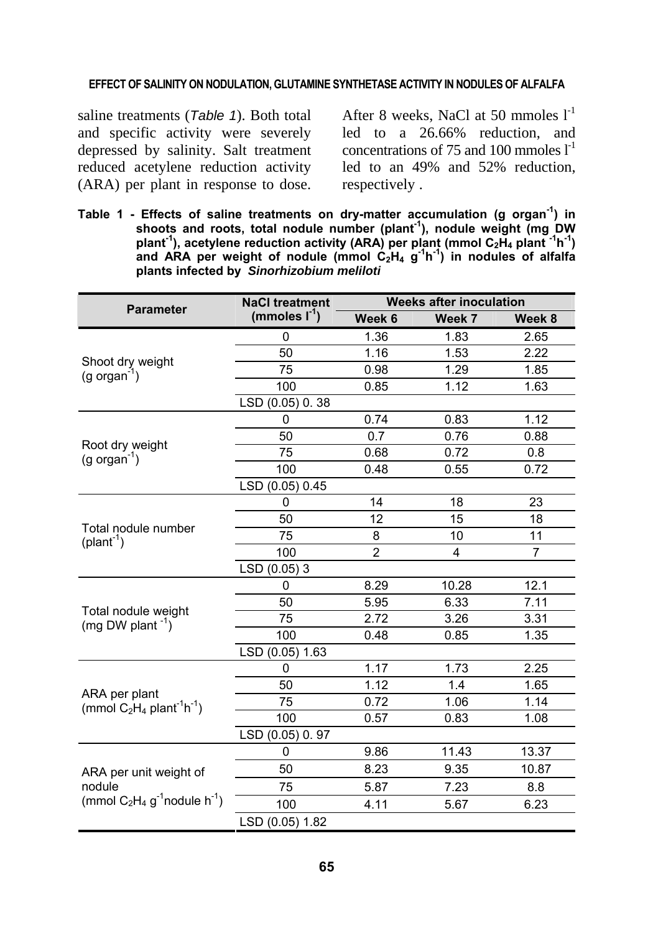### **EFFECT OF SALINITY ON NODULATION, GLUTAMINE SYNTHETASE ACTIVITY IN NODULES OF ALFALFA**

saline treatments (*Table 1*). Both total and specific activity were severely depressed by salinity. Salt treatment reduced acetylene reduction activity (ARA) per plant in response to dose.

After 8 weeks, NaCl at 50 mmoles  $1^{-1}$ led to a 26.66% reduction, and concentrations of 75 and 100 mmoles  $1<sup>-1</sup>$ led to an 49% and 52% reduction, respectively .

**Table 1 - Effects of saline treatments on dry-matter accumulation (g organ-1) in**  shoots and roots, total nodule number (plant<sup>1</sup>), nodule weight (mg DW plant<sup>-1</sup>), acetylene reduction activity (ARA) per plant (mmol C<sub>2</sub>H<sub>4</sub> plant<sup>-1</sup>h<sup>-1</sup>) and ARA per weight of nodule (mmol C<sub>2</sub>H<sub>4</sub> g<sup>-1</sup>h<sup>-1</sup>) in nodules of alfalfa **plants infected by** *Sinorhizobium meliloti*

| <b>Parameter</b>                                                                            | <b>NaCl treatment</b> | <b>Weeks after inoculation</b> |        |                |
|---------------------------------------------------------------------------------------------|-----------------------|--------------------------------|--------|----------------|
|                                                                                             | (mmoles $I^{-1}$ )    | Week 6                         | Week 7 | Week 8         |
| Shoot dry weight<br>$(g \text{ organ}^2)$                                                   | 0                     | 1.36                           | 1.83   | 2.65           |
|                                                                                             | 50                    | 1.16                           | 1.53   | 2.22           |
|                                                                                             | 75                    | 0.98                           | 1.29   | 1.85           |
|                                                                                             | 100                   | 0.85                           | 1.12   | 1.63           |
|                                                                                             | LSD (0.05) 0.38       |                                |        |                |
| Root dry weight<br>$(g \text{ organ}^{-1})$                                                 | 0                     | 0.74                           | 0.83   | 1.12           |
|                                                                                             | 50                    | 0.7                            | 0.76   | 0.88           |
|                                                                                             | 75                    | 0.68                           | 0.72   | 0.8            |
|                                                                                             | 100                   | 0.48                           | 0.55   | 0.72           |
|                                                                                             | LSD (0.05) 0.45       |                                |        |                |
| Total nodule number<br>$(plant-1)$                                                          | 0                     | 14                             | 18     | 23             |
|                                                                                             | 50                    | 12                             | 15     | 18             |
|                                                                                             | 75                    | 8                              | 10     | 11             |
|                                                                                             | 100                   | $\overline{2}$                 | 4      | $\overline{7}$ |
|                                                                                             | LSD (0.05) 3          |                                |        |                |
| Total nodule weight<br>(mg DW plant <sup>-1</sup> )                                         | 0                     | 8.29                           | 10.28  | 12.1           |
|                                                                                             | 50                    | 5.95                           | 6.33   | 7.11           |
|                                                                                             | 75                    | 2.72                           | 3.26   | 3.31           |
|                                                                                             | 100                   | 0.48                           | 0.85   | 1.35           |
|                                                                                             | LSD (0.05) 1.63       |                                |        |                |
| ARA per plant<br>(mmol $C_2H_4$ plant <sup>-1</sup> h <sup>-1</sup> )                       | 0                     | 1.17                           | 1.73   | 2.25           |
|                                                                                             | 50                    | 1.12                           | 1.4    | 1.65           |
|                                                                                             | 75                    | 0.72                           | 1.06   | 1.14           |
|                                                                                             | 100                   | 0.57                           | 0.83   | 1.08           |
|                                                                                             | LSD (0.05) 0.97       |                                |        |                |
| ARA per unit weight of<br>nodule<br>(mmol $C_2H_4$ g <sup>-1</sup> nodule h <sup>-1</sup> ) | 0                     | 9.86                           | 11.43  | 13.37          |
|                                                                                             | 50                    | 8.23                           | 9.35   | 10.87          |
|                                                                                             | 75                    | 5.87                           | 7.23   | 8.8            |
|                                                                                             | 100                   | 4.11                           | 5.67   | 6.23           |
|                                                                                             | LSD (0.05) 1.82       |                                |        |                |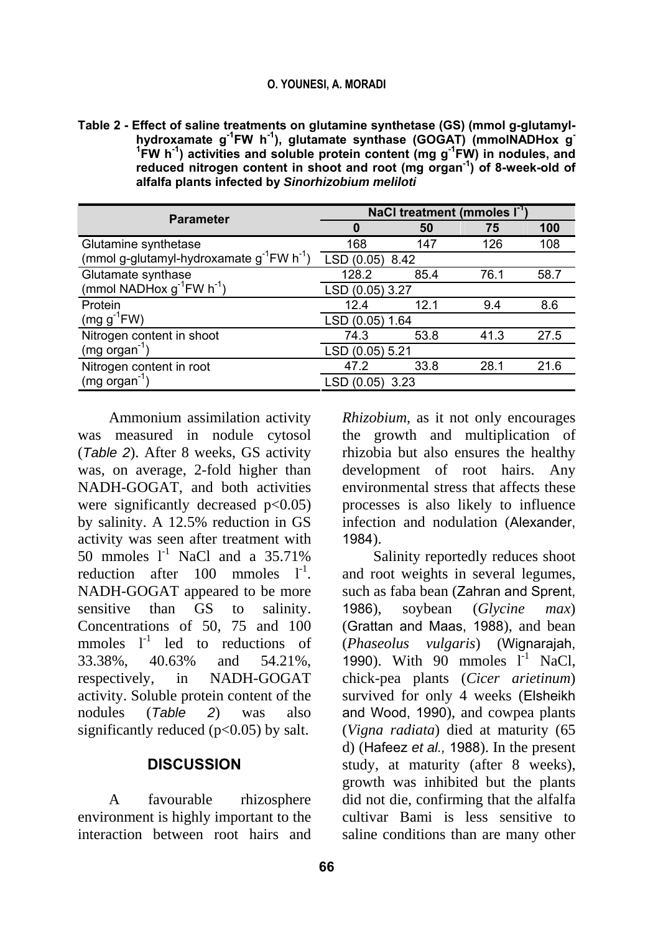### **O. YOUNESI, A. MORADI**

**Table 2 - Effect of saline treatments on glutamine synthetase (GS) (mmol g-glutamylhydroxamate g-1FW h-1), glutamate synthase (GOGAT) (mmolNADHox g-**<sup>1</sup>**FW** h<sup>-1</sup>) activities and soluble protein content (mg g<sup>-1</sup>FW) in nodules, and **reduced nitrogen content in shoot and root (mg organ-1) of 8-week-old of alfalfa plants infected by** *Sinorhizobium meliloti*

| <b>Parameter</b>                                              | NaCl treatment (mmoles I <sup>-1</sup> ) |      |      |      |  |
|---------------------------------------------------------------|------------------------------------------|------|------|------|--|
|                                                               | O                                        | 50   | 75   | 100  |  |
| Glutamine synthetase                                          | 168                                      | 147  | 126  | 108  |  |
| (mmol g-glutamyl-hydroxamate $g^{-1}FW \ h^{-1}$ )            | LSD (0.05) 8.42                          |      |      |      |  |
| Glutamate synthase                                            | 128.2                                    | 85.4 | 76.1 | 58.7 |  |
| (mmol NADH <sub>ox g</sub> <sup>-1</sup> FW h <sup>-1</sup> ) | LSD (0.05) 3.27                          |      |      |      |  |
| Protein                                                       | 12.4                                     | 12.1 | 9.4  | 8.6  |  |
| (mg $g^{-1}FW$ )                                              | LSD (0.05) 1.64                          |      |      |      |  |
| Nitrogen content in shoot                                     | 74.3                                     | 53.8 | 41.3 | 27.5 |  |
| $(mg \text{ organ}^{-1})$                                     | LSD (0.05) 5.21                          |      |      |      |  |
| Nitrogen content in root                                      | 47.2                                     | 33.8 | 28.1 | 21.6 |  |
| $(mg \text{ organ}^{-1})$                                     | LSD (0.05) 3.23                          |      |      |      |  |

Ammonium assimilation activity was measured in nodule cytosol (*Table 2*). After 8 weeks, GS activity was, on average, 2-fold higher than NADH-GOGAT, and both activities were significantly decreased  $p<0.05$ by salinity. A 12.5% reduction in GS activity was seen after treatment with 50 mmoles  $1^1$  NaCl and a 35.71% reduction after  $100$  mmoles  $1^{-1}$ . NADH-GOGAT appeared to be more sensitive than GS to salinity. Concentrations of 50, 75 and 100 mmoles  $l^{-1}$  led to reductions of 33.38%, 40.63% and 54.21%, respectively, in NADH-GOGAT activity. Soluble protein content of the nodules (*Table 2*) was also significantly reduced  $(p<0.05)$  by salt.

## **DISCUSSION**

A favourable rhizosphere environment is highly important to the interaction between root hairs and *Rhizobium*, as it not only encourages the growth and multiplication of rhizobia but also ensures the healthy development of root hairs. Any environmental stress that affects these processes is also likely to influence infection and nodulation (Alexander, 1984).

Salinity reportedly reduces shoot and root weights in several legumes, such as faba bean (Zahran and Sprent, 1986), soybean (*Glycine max*) (Grattan and Maas, 1988), and bean (*Phaseolus vulgaris*) (Wignarajah, 1990). With 90 mmoles  $l^{-1}$  NaCl, chick-pea plants (*Cicer arietinum*) survived for only 4 weeks (Elsheikh and Wood, 1990), and cowpea plants (*Vigna radiata*) died at maturity (65 d) (Hafeez *et al.,* 1988). In the present study, at maturity (after 8 weeks), growth was inhibited but the plants did not die, confirming that the alfalfa cultivar Bami is less sensitive to saline conditions than are many other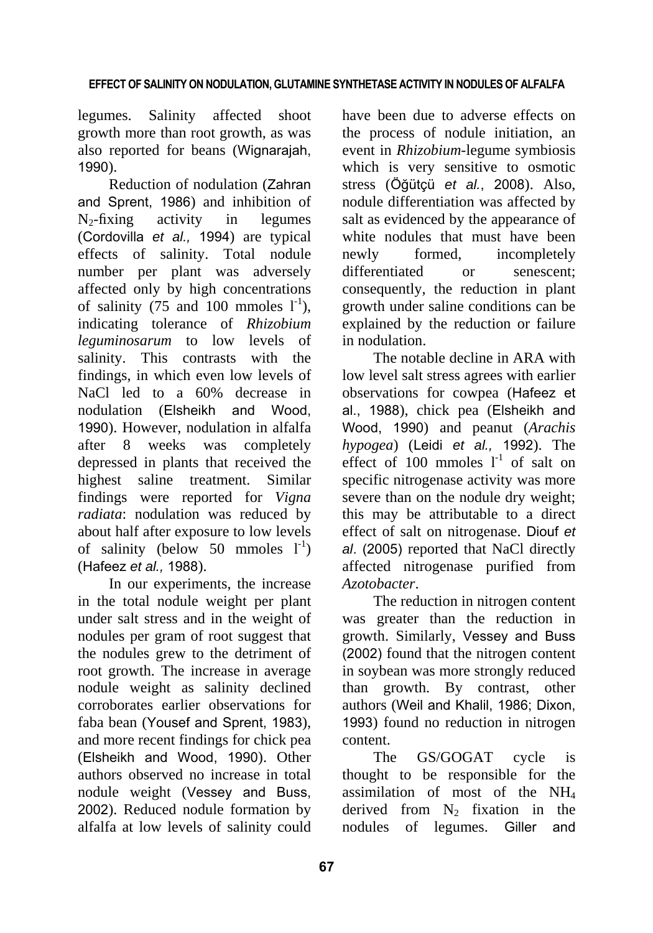### **EFFECT OF SALINITY ON NODULATION, GLUTAMINE SYNTHETASE ACTIVITY IN NODULES OF ALFALFA**

legumes. Salinity affected shoot growth more than root growth, as was also reported for beans (Wignarajah, 1990).

Reduction of nodulation (Zahran and Sprent, 1986) and inhibition of  $N_2$ -fixing activity in legumes (Cordovilla *et al.,* 1994) are typical effects of salinity. Total nodule number per plant was adversely affected only by high concentrations of salinity (75 and 100 mmoles  $1^{-1}$ ), indicating tolerance of *Rhizobium leguminosarum* to low levels of salinity. This contrasts with the findings, in which even low levels of NaCl led to a 60% decrease in nodulation (Elsheikh and Wood, 1990). However, nodulation in alfalfa after 8 weeks was completely depressed in plants that received the highest saline treatment. Similar findings were reported for *Vigna radiata*: nodulation was reduced by about half after exposure to low levels of salinity (below 50 mmoles  $1^{-1}$ ) (Hafeez *et al.,* 1988).

In our experiments, the increase in the total nodule weight per plant under salt stress and in the weight of nodules per gram of root suggest that the nodules grew to the detriment of root growth. The increase in average nodule weight as salinity declined corroborates earlier observations for faba bean (Yousef and Sprent, 1983), and more recent findings for chick pea (Elsheikh and Wood, 1990). Other authors observed no increase in total nodule weight (Vessey and Buss, 2002). Reduced nodule formation by alfalfa at low levels of salinity could

have been due to adverse effects on the process of nodule initiation, an event in *Rhizobium*-legume symbiosis which is very sensitive to osmotic stress (Öğütçü *et al.*, 2008). Also, nodule differentiation was affected by salt as evidenced by the appearance of white nodules that must have been newly formed, incompletely differentiated or senescent; consequently, the reduction in plant growth under saline conditions can be explained by the reduction or failure in nodulation.

The notable decline in ARA with low level salt stress agrees with earlier observations for cowpea (Hafeez et al., 1988), chick pea (Elsheikh and Wood, 1990) and peanut (*Arachis hypogea*) (Leidi *et al.,* 1992). The effect of 100 mmoles  $1^{-1}$  of salt on specific nitrogenase activity was more severe than on the nodule dry weight; this may be attributable to a direct effect of salt on nitrogenase. Diouf *et al*. (2005) reported that NaCl directly affected nitrogenase purified from *Azotobacter*.

The reduction in nitrogen content was greater than the reduction in growth. Similarly, Vessey and Buss (2002) found that the nitrogen content in soybean was more strongly reduced than growth. By contrast, other authors (Weil and Khalil, 1986; Dixon, 1993) found no reduction in nitrogen content.

The GS/GOGAT cycle is thought to be responsible for the assimilation of most of the NH4 derived from  $N_2$  fixation in the nodules of legumes. Giller and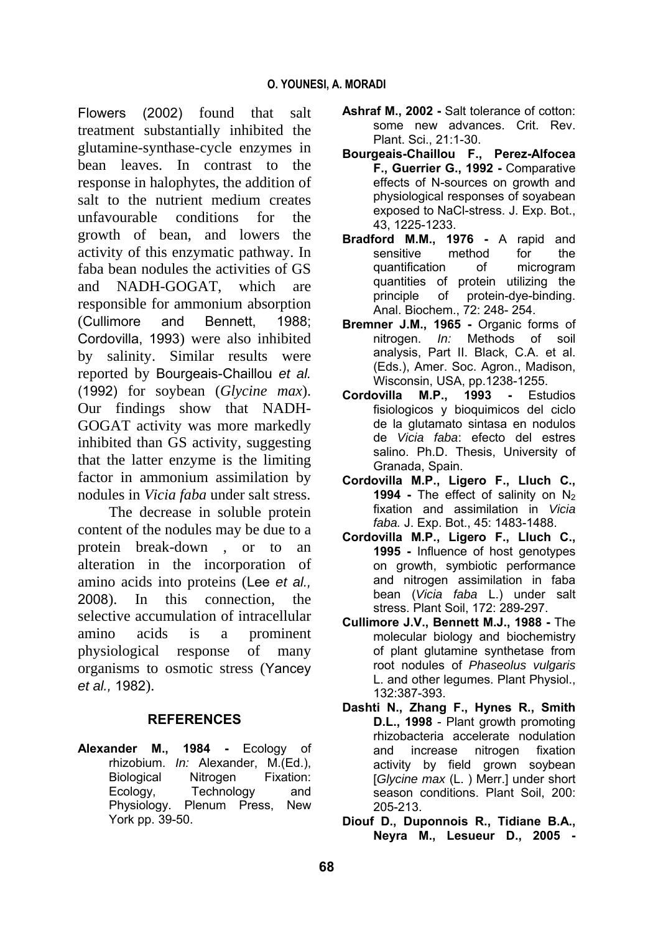Flowers (2002) found that salt treatment substantially inhibited the glutamine-synthase-cycle enzymes in bean leaves. In contrast to the response in halophytes, the addition of salt to the nutrient medium creates unfavourable conditions for the growth of bean, and lowers the activity of this enzymatic pathway. In faba bean nodules the activities of GS and NADH-GOGAT, which are responsible for ammonium absorption (Cullimore and Bennett, 1988; Cordovilla, 1993) were also inhibited by salinity. Similar results were reported by Bourgeais-Chaillou *et al.*  (1992) for soybean (*Glycine max*). Our findings show that NADH-GOGAT activity was more markedly inhibited than GS activity, suggesting that the latter enzyme is the limiting factor in ammonium assimilation by nodules in *Vicia faba* under salt stress.

The decrease in soluble protein content of the nodules may be due to a protein break-down , or to an alteration in the incorporation of amino acids into proteins (Lee *et al.,* 2008). In this connection, the selective accumulation of intracellular amino acids is a prominent physiological response of many organisms to osmotic stress (Yancey *et al.,* 1982).

# **REFERENCES**

**Alexander M., 1984 -** Ecology of rhizobium. *In:* Alexander, M.(Ed.), Biological Nitrogen Fixation: Ecology, Technology and Physiology. Plenum Press, New York pp. 39-50.

- **Ashraf M., 2002 -** Salt tolerance of cotton: some new advances. Crit. Rev. Plant. Sci., 21:1-30.
- **Bourgeais-Chaillou F., Perez-Alfocea F., Guerrier G., 1992 -** Comparative effects of N-sources on growth and physiological responses of soyabean exposed to NaCl-stress. J. Exp. Bot., 43, 1225-1233.
- **Bradford M.M., 1976 -** A rapid and sensitive method for the quantification of microgram quantities of protein utilizing the principle of protein-dye-binding. Anal. Biochem., 72: 248- 254.
- **Bremner J.M., 1965 -** Organic forms of nitrogen. *In:* Methods of soil analysis, Part II. Black, C.A. et al. (Eds.), Amer. Soc. Agron., Madison, Wisconsin, USA, pp.1238-1255.
- **Cordovilla M.P., 1993 -** Estudios fisiologicos y bioquimicos del ciclo de la glutamato sintasa en nodulos de *Vicia faba*: efecto del estres salino. Ph.D. Thesis, University of Granada, Spain.
- **Cordovilla M.P., Ligero F., Lluch C., 1994 -** The effect of salinity on N<sub>2</sub> fixation and assimilation in *Vicia faba.* J. Exp. Bot., 45: 1483-1488.
- **Cordovilla M.P., Ligero F., Lluch C., 1995 -** Influence of host genotypes on growth, symbiotic performance and nitrogen assimilation in faba bean (*Vicia faba* L.) under salt stress. Plant Soil, 172: 289-297.
- **Cullimore J.V., Bennett M.J., 1988 -** The molecular biology and biochemistry of plant glutamine synthetase from root nodules of *Phaseolus vulgaris* L. and other legumes. Plant Physiol., 132:387-393.
- **Dashti N., Zhang F., Hynes R., Smith D.L., 1998** - Plant growth promoting rhizobacteria accelerate nodulation and increase nitrogen fixation activity by field grown soybean [*Glycine max* (L. ) Merr.] under short season conditions. Plant Soil, 200: 205-213.
- **Diouf D., Duponnois R., Tidiane B.A., Neyra M., Lesueur D., 2005 -**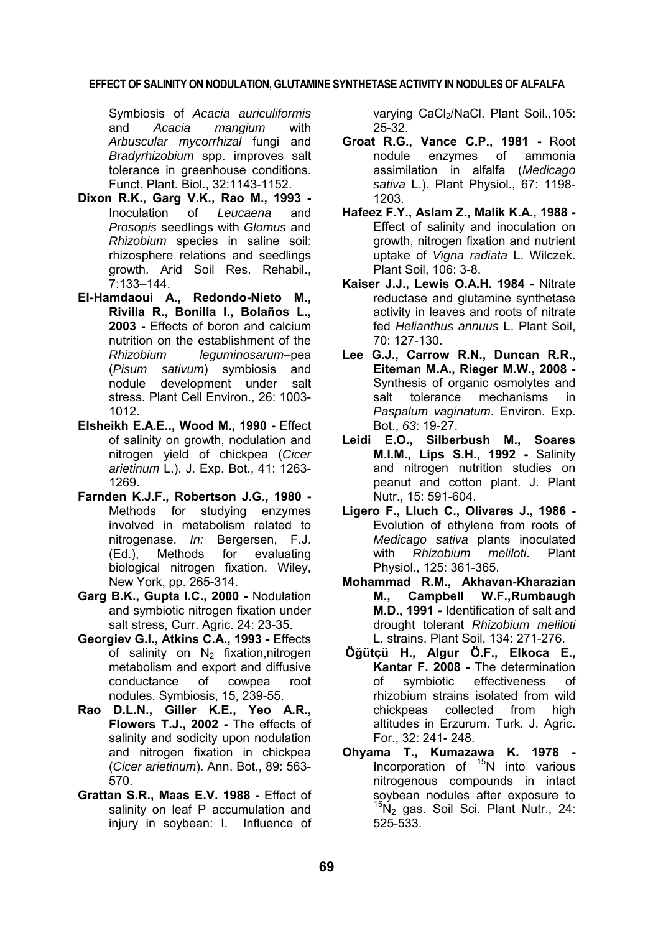#### **EFFECT OF SALINITY ON NODULATION, GLUTAMINE SYNTHETASE ACTIVITY IN NODULES OF ALFALFA**

Symbiosis of *Acacia auriculiformis* and *Acacia mangium* with *Arbuscular mycorrhizal* fungi and *Bradyrhizobium* spp. improves salt tolerance in greenhouse conditions. Funct. Plant. Biol., 32:1143-1152.

- **Dixon R.K., Garg V.K., Rao M., 1993 -** Inoculation of *Leucaena* and *Prosopis* seedlings with *Glomus* and *Rhizobium* species in saline soil: rhizosphere relations and seedlings growth. Arid Soil Res. Rehabil., 7:133–144.
- **El-Hamdaoui A., Redondo-Nieto M., Rivilla R., Bonilla I., Bolaños L., 2003 -** Effects of boron and calcium nutrition on the establishment of the *Rhizobium leguminosarum*–pea (*Pisum sativum*) symbiosis and nodule development under salt stress. Plant Cell Environ., 26: 1003- 1012.
- **Elsheikh E.A.E.., Wood M., 1990 -** Effect of salinity on growth, nodulation and nitrogen yield of chickpea (*Cicer arietinum* L.). J. Exp. Bot., 41: 1263- 1269.
- **Farnden K.J.F., Robertson J.G., 1980 -** Methods for studying enzymes involved in metabolism related to nitrogenase. *In:* Bergersen, F.J. (Ed.), Methods for evaluating biological nitrogen fixation. Wiley, New York, pp. 265-314.
- **Garg B.K., Gupta I.C., 2000 -** Nodulation and symbiotic nitrogen fixation under salt stress, Curr. Agric. 24: 23-35.
- **Georgiev G.I., Atkins C.A., 1993 -** Effects of salinity on  $N_2$  fixation, nitrogen metabolism and export and diffusive conductance of cowpea root nodules. Symbiosis, 15, 239-55.
- **Rao D.L.N., Giller K.E., Yeo A.R., Flowers T.J., 2002 -** The effects of salinity and sodicity upon nodulation and nitrogen fixation in chickpea (*Cicer arietinum*). Ann. Bot., 89: 563- 570.
- **Grattan S.R., Maas E.V. 1988 -** Effect of salinity on leaf P accumulation and injury in soybean: I. Influence of

varying CaCl<sub>2</sub>/NaCl. Plant Soil., 105: 25-32.

- **Groat R.G., Vance C.P., 1981 -** Root nodule enzymes of ammonia assimilation in alfalfa (*Medicago sativa* L.). Plant Physiol., 67: 1198- 1203.
- **Hafeez F.Y., Aslam Z., Malik K.A., 1988 -** Effect of salinity and inoculation on growth, nitrogen fixation and nutrient uptake of *Vigna radiata* L. Wilczek. Plant Soil, 106: 3-8.
- **Kaiser J.J., Lewis O.A.H. 1984 -** Nitrate reductase and glutamine synthetase activity in leaves and roots of nitrate fed *Helianthus annuus* L. Plant Soil, 70: 127-130.
- **Lee G.J., Carrow R.N., Duncan R.R., Eiteman M.A., Rieger M.W., 2008 -** Synthesis of organic osmolytes and salt tolerance mechanisms in *Paspalum vaginatum*. Environ. Exp. Bot., *63*: 19-27.
- **Leidi E.O., Silberbush M., Soares M.I.M., Lips S.H., 1992 -** Salinity and nitrogen nutrition studies on peanut and cotton plant. J. Plant Nutr., 15: 591-604.
- **Ligero F., Lluch C., Olivares J., 1986 -** Evolution of ethylene from roots of *Medicago sativa* plants inoculated with *Rhizobium meliloti*. Plant Physiol., 125: 361-365.
- **Mohammad R.M., Akhavan-Kharazian M., Campbell W.F.,Rumbaugh M.D., 1991 -** Identification of salt and drought tolerant *Rhizobium meliloti* L. strains. Plant Soil, 134: 271-276.
- **Öğütçü H., Algur Ö.F., Elkoca E., Kantar F. 2008 -** The determination of symbiotic effectiveness of rhizobium strains isolated from wild chickpeas collected from high altitudes in Erzurum. Turk. J. Agric. For., 32: 241- 248.
- **Ohyama T., Kumazawa K. 1978 -** Incorporation of  $15N$  into various nitrogenous compounds in intact soybean nodules after exposure to  $15N_2$  gas. Soil Sci. Plant Nutr., 24: 525-533.